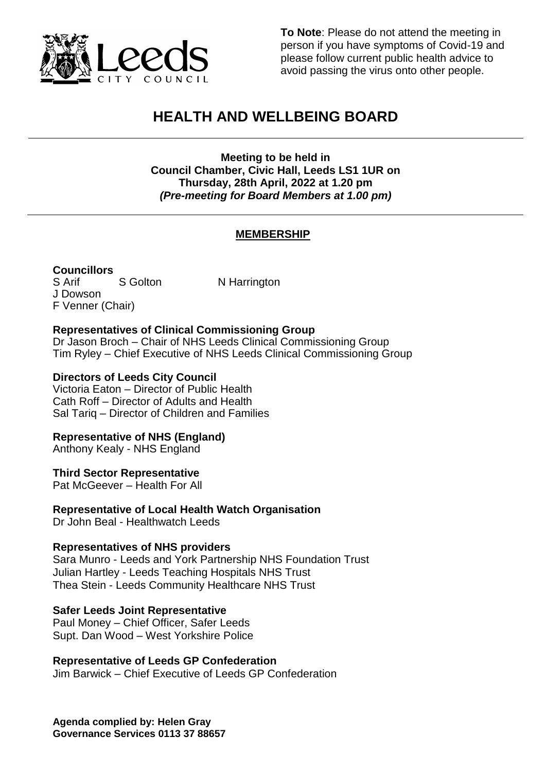

**To Note**: Please do not attend the meeting in person if you have symptoms of Covid-19 and please follow current public health advice to avoid passing the virus onto other people.

# **HEALTH AND WELLBEING BOARD**

**Meeting to be held in Council Chamber, Civic Hall, Leeds LS1 1UR on Thursday, 28th April, 2022 at 1.20 pm** *(Pre-meeting for Board Members at 1.00 pm)*

### **MEMBERSHIP**

## **Councillors**

S Arif S Golton N Harrington J Dowson F Venner (Chair)

## **Representatives of Clinical Commissioning Group**

Dr Jason Broch – Chair of NHS Leeds Clinical Commissioning Group Tim Ryley – Chief Executive of NHS Leeds Clinical Commissioning Group

#### **Directors of Leeds City Council**

Victoria Eaton – Director of Public Health Cath Roff – Director of Adults and Health Sal Tariq – Director of Children and Families

#### **Representative of NHS (England)**

Anthony Kealy - NHS England

#### **Third Sector Representative**

Pat McGeever – Health For All

**Representative of Local Health Watch Organisation**

Dr John Beal - Healthwatch Leeds

#### **Representatives of NHS providers**

Sara Munro - Leeds and York Partnership NHS Foundation Trust Julian Hartley - Leeds Teaching Hospitals NHS Trust Thea Stein - Leeds Community Healthcare NHS Trust

#### **Safer Leeds Joint Representative**

Paul Money – Chief Officer, Safer Leeds Supt. Dan Wood – West Yorkshire Police

#### **Representative of Leeds GP Confederation**

Jim Barwick – Chief Executive of Leeds GP Confederation

**Agenda complied by: Helen Gray Governance Services 0113 37 88657**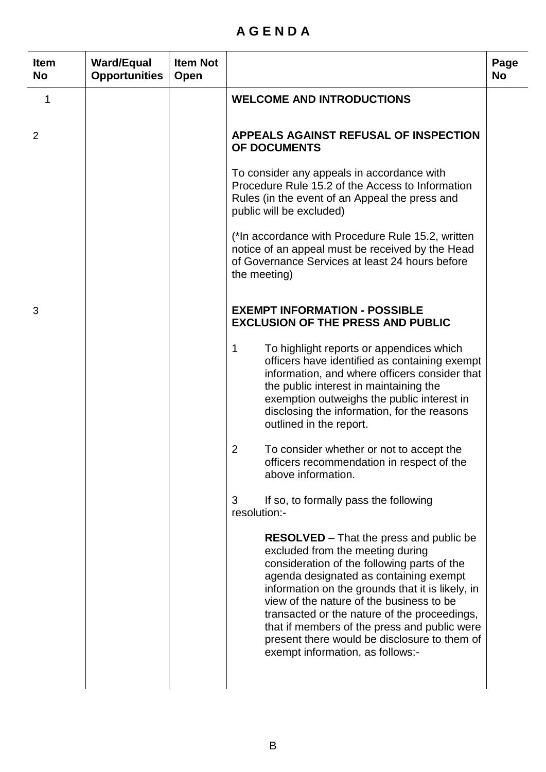# **A G E N D A**

| <b>Item</b><br><b>No</b> | <b>Ward/Equal</b><br><b>Opportunities</b> | <b>Item Not</b><br>Open |                                                                                                                                                                                                                                                                                                                                                                                                                                                                 | Page<br><b>No</b> |
|--------------------------|-------------------------------------------|-------------------------|-----------------------------------------------------------------------------------------------------------------------------------------------------------------------------------------------------------------------------------------------------------------------------------------------------------------------------------------------------------------------------------------------------------------------------------------------------------------|-------------------|
| 1                        |                                           |                         | <b>WELCOME AND INTRODUCTIONS</b>                                                                                                                                                                                                                                                                                                                                                                                                                                |                   |
| 2                        |                                           |                         | <b>APPEALS AGAINST REFUSAL OF INSPECTION</b><br>OF DOCUMENTS                                                                                                                                                                                                                                                                                                                                                                                                    |                   |
|                          |                                           |                         | To consider any appeals in accordance with<br>Procedure Rule 15.2 of the Access to Information<br>Rules (in the event of an Appeal the press and<br>public will be excluded)                                                                                                                                                                                                                                                                                    |                   |
|                          |                                           |                         | (*In accordance with Procedure Rule 15.2, written<br>notice of an appeal must be received by the Head<br>of Governance Services at least 24 hours before<br>the meeting)                                                                                                                                                                                                                                                                                        |                   |
| 3                        |                                           |                         | <b>EXEMPT INFORMATION - POSSIBLE</b><br><b>EXCLUSION OF THE PRESS AND PUBLIC</b>                                                                                                                                                                                                                                                                                                                                                                                |                   |
|                          |                                           |                         | 1<br>To highlight reports or appendices which<br>officers have identified as containing exempt<br>information, and where officers consider that<br>the public interest in maintaining the<br>exemption outweighs the public interest in<br>disclosing the information, for the reasons<br>outlined in the report.                                                                                                                                               |                   |
|                          |                                           |                         | 2<br>To consider whether or not to accept the<br>officers recommendation in respect of the<br>above information.                                                                                                                                                                                                                                                                                                                                                |                   |
|                          |                                           |                         | If so, to formally pass the following<br>3<br>resolution:-                                                                                                                                                                                                                                                                                                                                                                                                      |                   |
|                          |                                           |                         | <b>RESOLVED</b> – That the press and public be<br>excluded from the meeting during<br>consideration of the following parts of the<br>agenda designated as containing exempt<br>information on the grounds that it is likely, in<br>view of the nature of the business to be<br>transacted or the nature of the proceedings,<br>that if members of the press and public were<br>present there would be disclosure to them of<br>exempt information, as follows:- |                   |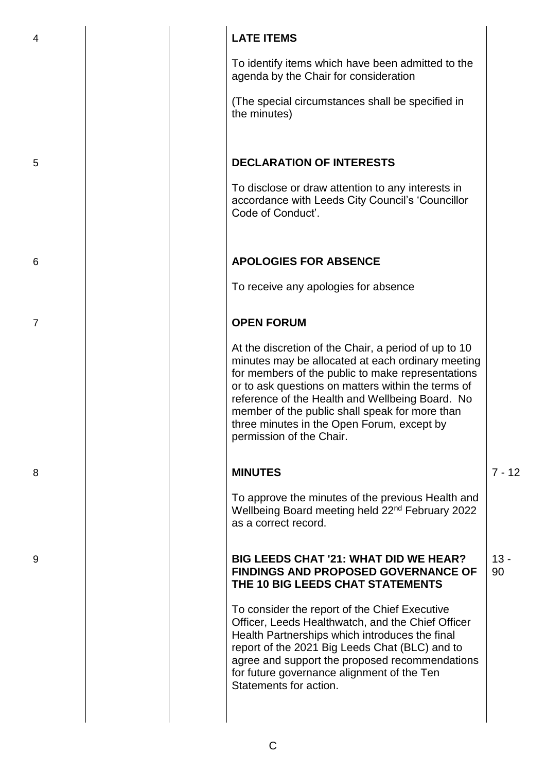| 4 |  | <b>LATE ITEMS</b>                                                                                                                                                                                                                                                                                                                                                                                   |              |
|---|--|-----------------------------------------------------------------------------------------------------------------------------------------------------------------------------------------------------------------------------------------------------------------------------------------------------------------------------------------------------------------------------------------------------|--------------|
|   |  | To identify items which have been admitted to the<br>agenda by the Chair for consideration                                                                                                                                                                                                                                                                                                          |              |
|   |  | (The special circumstances shall be specified in<br>the minutes)                                                                                                                                                                                                                                                                                                                                    |              |
| 5 |  | <b>DECLARATION OF INTERESTS</b>                                                                                                                                                                                                                                                                                                                                                                     |              |
|   |  | To disclose or draw attention to any interests in<br>accordance with Leeds City Council's 'Councillor<br>Code of Conduct'.                                                                                                                                                                                                                                                                          |              |
| 6 |  | <b>APOLOGIES FOR ABSENCE</b>                                                                                                                                                                                                                                                                                                                                                                        |              |
|   |  | To receive any apologies for absence                                                                                                                                                                                                                                                                                                                                                                |              |
| 7 |  | <b>OPEN FORUM</b>                                                                                                                                                                                                                                                                                                                                                                                   |              |
|   |  | At the discretion of the Chair, a period of up to 10<br>minutes may be allocated at each ordinary meeting<br>for members of the public to make representations<br>or to ask questions on matters within the terms of<br>reference of the Health and Wellbeing Board. No<br>member of the public shall speak for more than<br>three minutes in the Open Forum, except by<br>permission of the Chair. |              |
| 8 |  | <b>MINUTES</b>                                                                                                                                                                                                                                                                                                                                                                                      | $7 - 12$     |
|   |  | To approve the minutes of the previous Health and<br>Wellbeing Board meeting held 22 <sup>nd</sup> February 2022<br>as a correct record.                                                                                                                                                                                                                                                            |              |
| 9 |  | <b>BIG LEEDS CHAT '21: WHAT DID WE HEAR?</b><br><b>FINDINGS AND PROPOSED GOVERNANCE OF</b><br>THE 10 BIG LEEDS CHAT STATEMENTS                                                                                                                                                                                                                                                                      | $13 -$<br>90 |
|   |  | To consider the report of the Chief Executive<br>Officer, Leeds Healthwatch, and the Chief Officer<br>Health Partnerships which introduces the final<br>report of the 2021 Big Leeds Chat (BLC) and to<br>agree and support the proposed recommendations<br>for future governance alignment of the Ten<br>Statements for action.                                                                    |              |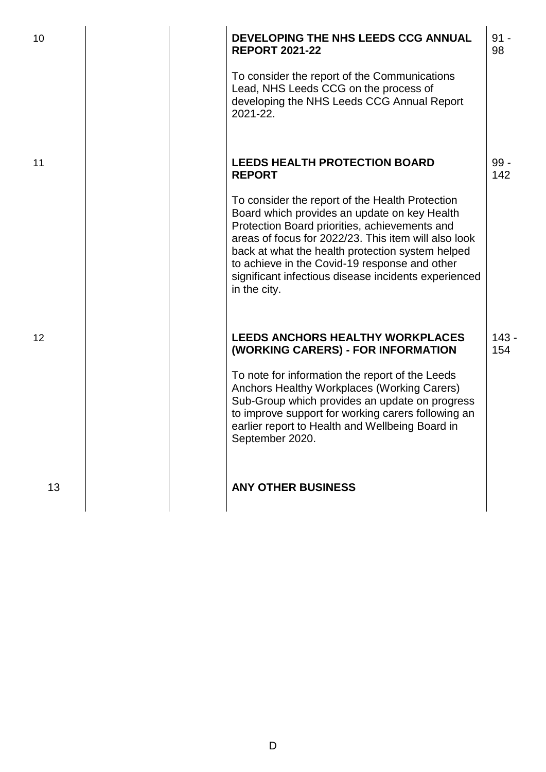| 10 | DEVELOPING THE NHS LEEDS CCG ANNUAL<br><b>REPORT 2021-22</b>                                                                                                                                                                                                                                                                                                                          | $91 -$<br>98   |
|----|---------------------------------------------------------------------------------------------------------------------------------------------------------------------------------------------------------------------------------------------------------------------------------------------------------------------------------------------------------------------------------------|----------------|
|    | To consider the report of the Communications<br>Lead, NHS Leeds CCG on the process of<br>developing the NHS Leeds CCG Annual Report<br>2021-22.                                                                                                                                                                                                                                       |                |
| 11 | <b>LEEDS HEALTH PROTECTION BOARD</b><br><b>REPORT</b>                                                                                                                                                                                                                                                                                                                                 | $99 -$<br>142  |
|    | To consider the report of the Health Protection<br>Board which provides an update on key Health<br>Protection Board priorities, achievements and<br>areas of focus for 2022/23. This item will also look<br>back at what the health protection system helped<br>to achieve in the Covid-19 response and other<br>significant infectious disease incidents experienced<br>in the city. |                |
| 12 | LEEDS ANCHORS HEALTHY WORKPLACES<br>(WORKING CARERS) - FOR INFORMATION                                                                                                                                                                                                                                                                                                                | $143 -$<br>154 |
|    | To note for information the report of the Leeds<br>Anchors Healthy Workplaces (Working Carers)<br>Sub-Group which provides an update on progress<br>to improve support for working carers following an<br>earlier report to Health and Wellbeing Board in<br>September 2020.                                                                                                          |                |
| 13 | <b>ANY OTHER BUSINESS</b>                                                                                                                                                                                                                                                                                                                                                             |                |